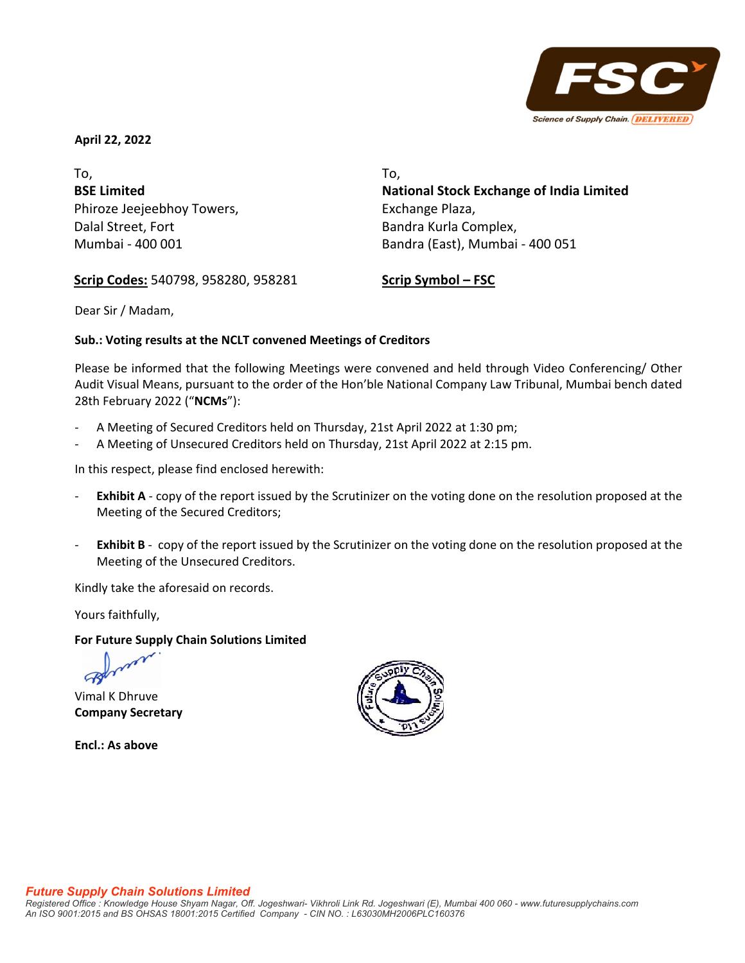

**April 22, 2022**

To, **BSE Limited** Phiroze Jeejeebhoy Towers, Dalal Street, Fort Mumbai ‐ 400 001

To, **National Stock Exchange of India Limited**  Exchange Plaza, Bandra Kurla Complex, Bandra (East), Mumbai ‐ 400 051

**Scrip Codes:** 540798, 958280, 958281

**Scrip Symbol – FSC**

Dear Sir / Madam,

# **Sub.: Voting results at the NCLT convened Meetings of Creditors**

Please be informed that the following Meetings were convened and held through Video Conferencing/ Other Audit Visual Means, pursuant to the order of the Hon'ble National Company Law Tribunal, Mumbai bench dated 28th February 2022 ("**NCMs**"):

- ‐ A Meeting of Secured Creditors held on Thursday, 21st April 2022 at 1:30 pm;
- ‐ A Meeting of Unsecured Creditors held on Thursday, 21st April 2022 at 2:15 pm.

In this respect, please find enclosed herewith:

- ‐ **Exhibit A** ‐ copy of the report issued by the Scrutinizer on the voting done on the resolution proposed at the Meeting of the Secured Creditors;
- ‐ **Exhibit B** ‐ copy of the report issued by the Scrutinizer on the voting done on the resolution proposed at the Meeting of the Unsecured Creditors.

Kindly take the aforesaid on records.

Yours faithfully,

**For Future Supply Chain Solutions Limited**

Vimal K Dhruve **Company Secretary**

**Encl.: As above**

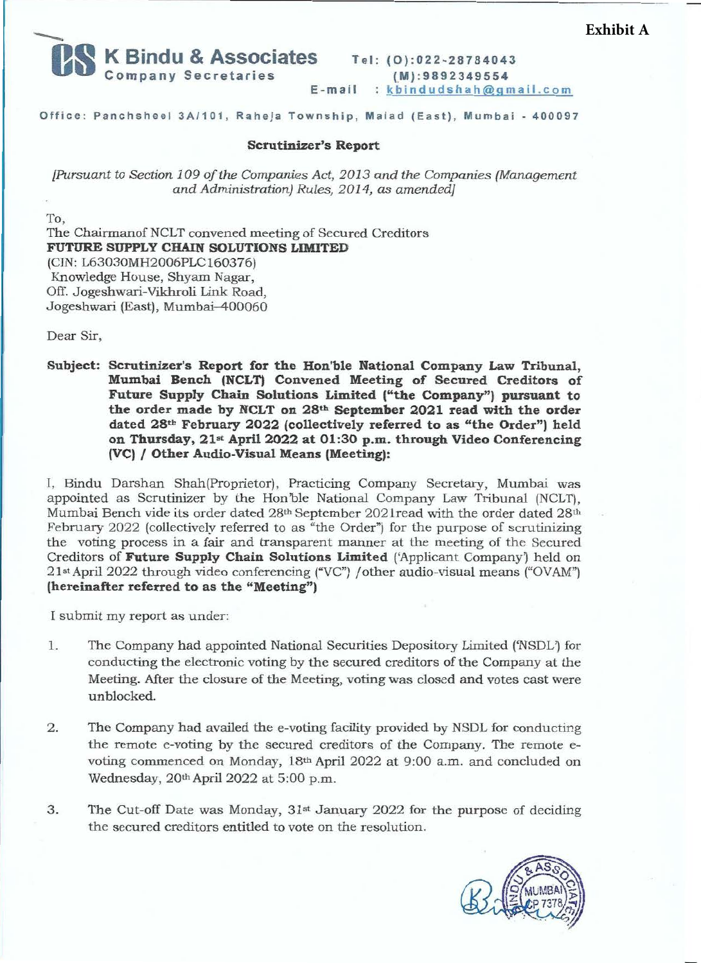

**Te l : (0):022-28784043 (\_M) : 9892349554**  E-mail : kbindudshah@gmail.com

## **O ffice: Panchsheel 3A/101, Raheja Township, Malad (East), Mumbai** - **400097**

#### **Scrutinizer's Report**

*[Pursuant to Section 109 of the Companies Act, 2013 and the Companies (Management and Administration) Rules, 2014,* as *amended]* 

To, The Chairmanof NCLT convened meeting of Secured Creditors **FUTURE SUPPLY CHAIN SOLUTIONS LIMITED**  (CIN: L63030MH2006PLC160376) Knowledge House, Shyam Nagar, Off. Jogeshwari-Vikhroli Link Road, Jogeshwari (East), Mumbai-400060

Dear Sir,

**Subject: Scrutinizer's Report for the Hon'ble National Company Law Tribunal, Mumbai Bench (NCLT) Convened Meeting of Secured Creditors of Future Supply Chain Solutions Limited ("the Company'') pursuant to the order made by NCLT on 28th September 2021 read with the order dated 28th February 2022 (collectively referred to as "the Order") held on Thursday, 21st April 2022 at 01:30 p.m. through Video Conferencing (VC)** / **Other Audio-Visual Means (Meeting):** 

I, Bindu Darshan Shah(Proprietor), Practicing Company Secretary, Mumbai was appointed as Scrutinizer by the Hon'ble National Company Law Tribunal (NCLT), Mumbai Bench vide its order dated 28th September 2021read with the order dated 28th February 2022 (collectively referred to as "the Order") for the purpose of scrutinizing the voting process in a fair and transparent manner at the meeting of the Secured Creditors of **Future Supply Chain Solutions Limited** ('Applicant Company') held on 21st April 2022 through video conferencing ("VC") / other audio-visual means ("OVAM") **(hereinafter referred to as the "Meeting")** 

I submit my report as under:

- 1. The Company had appointed National Securities Depository Limited ('NSDL') for conducting the electronic voting by the secured creditors of the Company at the Meeting. After the closure of the Meeting, voting was closed and votes cast were unblocked.
- 2. The Company had availed the e-voting facility provided by NSDL for conducting the remote e-voting by the secured creditors of the Company. The remote evoting commenced on Monday, 18th April 2022 at 9:00 a.m. and concluded on Wednesday, 20th April 2022 at 5:00 p.m.
- 3. The Cut-off Date was Monday, 31<sup>st</sup> January 2022 for the purpose of deciding the secured creditors entitled to vote on the resolution.

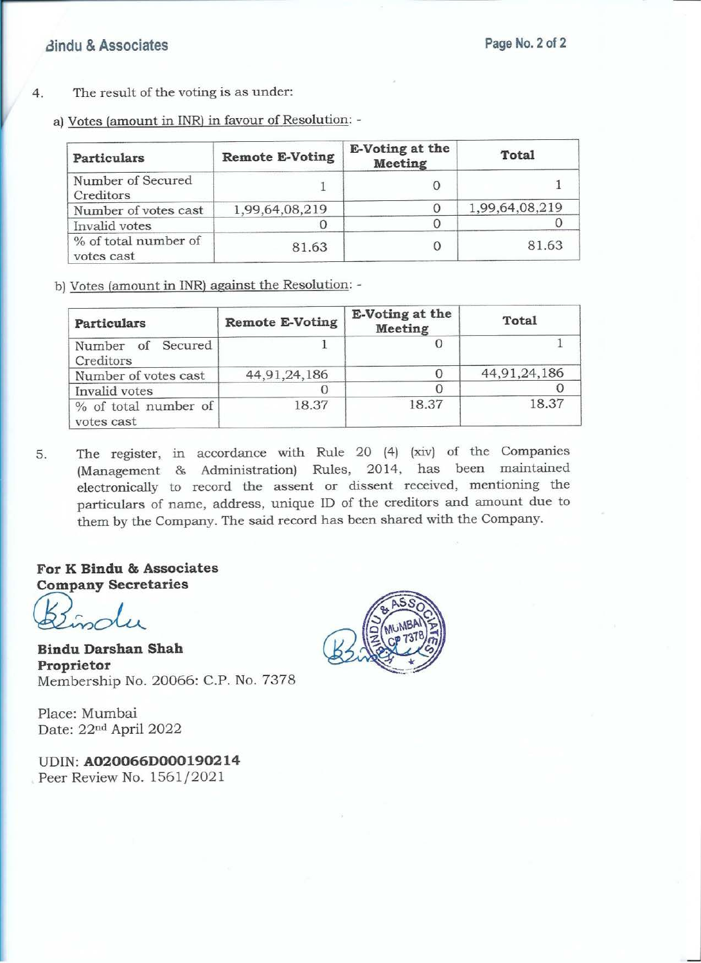- 4. The result of the voting is as under:
	- a) Votes (amount in INR) in favour of Resolution: -

| Particulars                        | <b>Remote E-Voting</b> | E-Voting at the<br><b>Meeting</b> | <b>Total</b>   |
|------------------------------------|------------------------|-----------------------------------|----------------|
| Number of Secured<br>Creditors     |                        |                                   |                |
| Number of votes cast               | 1,99,64,08,219         |                                   | 1,99,64,08,219 |
| Invalid votes                      |                        |                                   |                |
| % of total number of<br>votes cast | 81.63                  |                                   | 81.63          |

b) Votes (amount in INR) against the Resolution: -

| <b>Particulars</b>                 | <b>Remote E-Voting</b> | <b>E-Voting at the</b><br><b>Meeting</b> | Total        |
|------------------------------------|------------------------|------------------------------------------|--------------|
| Number of Secured<br>Creditors     |                        |                                          |              |
| Number of votes cast               | 44, 91, 24, 186        |                                          | 44,91,24,186 |
| Invalid votes                      |                        |                                          |              |
| % of total number of<br>votes cast | 18.37                  | 18.37                                    | 18.37        |

5. The register, in accordance with Rule 20 (4) (xiv) of the Companies (Management & Administration) Rules, 2014, has been maintained electronically to record the assent or dissent received, mentioning the particulars of name, address, unique ID of the creditors and amount due to them by the Company. The said record has been shared with the Company .

**For K Bindu & Associates Company Secretaries** 

*(iL,oLu\_* 

**Bindu Darshan Shah Proprietor**  Membership No. 20066: C.P. No. 7378

Place: Mumbai Date: 22nd April 2022

**UDIN:A020066D000190214**  Peer Review No. 1561/2021

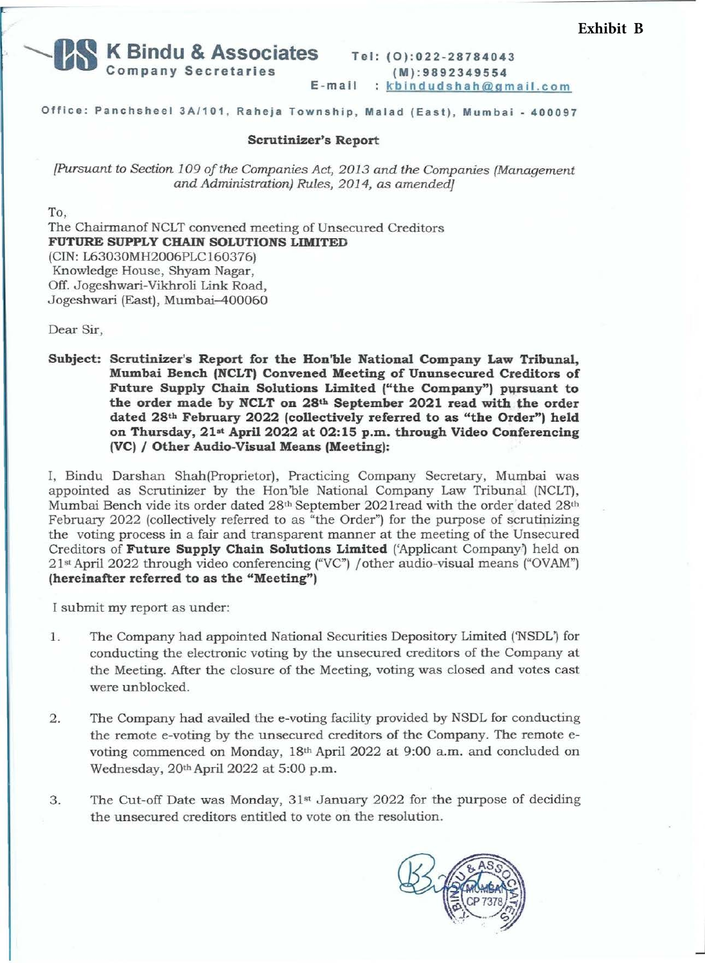

**(M):9892349554 E-mail** : kbindudshah@gmail.com

**Office: Panchsheel 3A/101, Raheja Township, Malad (East), Mumbai - 400097** 

### **Scrutinizer's Report**

*[Pursuant to Section 109 of the Companies Act, 2013 and the Companies (Management and Administration) Rules, 2014, as amended]* 

To,

The Chairmanof NCLT convened meeting of Unsecured Creditors **FUTURE SUPPLY CHAIN SOLUTIONS LIMITED**  (CIN: L63030MH2006PLC160376) Knowledge House, Shyam Nagar, Off. Jogeshwari-Vikhroli Link Road, Jogeshwari (East), Mumbai-400060

Dear Sir,

**Subject: Scrutinizer's Report for the Hon'ble National Company Law Tribunal, Mumbai Bench (NCLT) Convened Meeting of Ununsecured Creditors of**  Future Supply Chain Solutions Limited ("the Company") pursuant to **the order made by NCLT on 28th September 2021 read with the order dated 28th February 2022 (collectively referred to as "the Order") held on Thursday, 21st April 2022 at 02:15 p.m. through Video Conferencing (VC)** / **Other Audio-Visual Means (Meeting):** 

I, Bindu Darshan Shah(Proprietor), Practicing Company Secretary, Mumbai was appointed as Scrutinizer by the Hon'ble National Company Law Tribunal (NCLT), Mumbai Bench vide its order dated 28th September 202 lread with the order 'dated 28th February 2022 (collectively referred to as "the Order") for the purpose of scrutinizing the voting process in a fair and transparent manner at the meeting of the Unsecured Creditors of **Future Supply Chain Solutions Limited** ('Applicant Company') held on 21st April 2022 through video conferencing ("VC") / other audio-visual means ("OV AM") (hereinafter referred to as the "Meeting")

I submit my report as under:

- 1. The Company had appointed National Securities Depository Limited ('NSDL') for conducting the electronic voting by the unsecured creditors of the Company at the Meeting. After the closure of the Meeting, voting was closed and votes cast were unblocked.
- 2. The Company had availed the e-voting facility provided by NSDL for conducting the remote e-voting by the unsecured creditors of the Company. The remote evoting commenced on Monday, 18th April 2022 at 9:00 a.m. and concluded on Wednesday, 20th April 2022 at 5:00 p.m.
- 3. The Cut-off Date was Monday, 31st January 2022 for the purpose of deciding the unsecured creditors entitled to vote on the resolution.



 $\overline{\phantom{a}}$